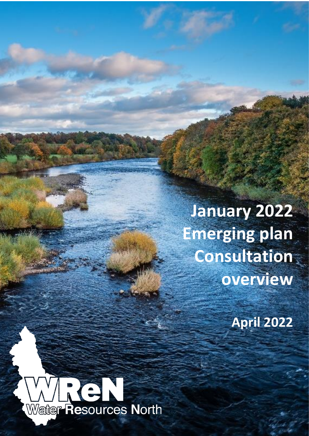**January 2022 Emerging plan Consultation overview**

**April 2022**

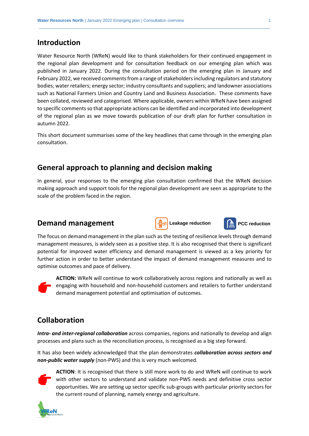### **Introduction**

Water Resource North (WReN) would like to thank stakeholders for their continued engagement in the regional plan development and for consultation feedback on our emerging plan which was published in January 2022. During the consultation period on the emerging plan in January and February 2022, we received comments from a range of stakeholders including regulators and statutory bodies; water retailers; energy sector; industry consultants and suppliers; and landowner associations such as National Farmers Union and Country Land and Business Association. These comments have been collated, reviewed and categorised. Where applicable, owners within WReN have been assigned to specific comments so that appropriate actions can be identified and incorporated into development of the regional plan as we move towards publication of our draft plan for further consultation in autumn 2022.

This short document summarises some of the key headlines that came through in the emerging plan consultation.

### **General approach to planning and decision making**

In general, your responses to the emerging plan consultation confirmed that the WReN decision making approach and support tools for the regional plan development are seen as appropriate to the scale of the problem faced in the region.

#### **Demand management**



The focus on demand management in the plan such as the testing of resilience levels through demand management measures, is widely seen as a positive step. It is also recognised that there is significant potential for improved water efficiency and demand management is viewed as a key priority for further action in order to better understand the impact of demand management measures and to optimise outcomes and pace of delivery.



**ACTION:** WReN will continue to work collaboratively across regions and nationally as well as engaging with household and non-household customers and retailers to further understand demand management potential and optimisation of outcomes.

## **Collaboration**

*Intra- and inter-regional collaboration* across companies, regions and nationally to develop and align processes and plans such as the reconciliation process, is recognised as a big step forward.

It has also been widely acknowledged that the plan demonstrates *collaboration across sectors and non-public water supply* (non-PWS) and this is very much welcomed.



**ACTION**: It is recognised that there is still more work to do and WReN will continue to work with other sectors to understand and validate non-PWS needs and definitive cross sector opportunities. We are setting up sector specific sub-groups with particular priority sectors for the current round of planning, namely energy and agriculture.